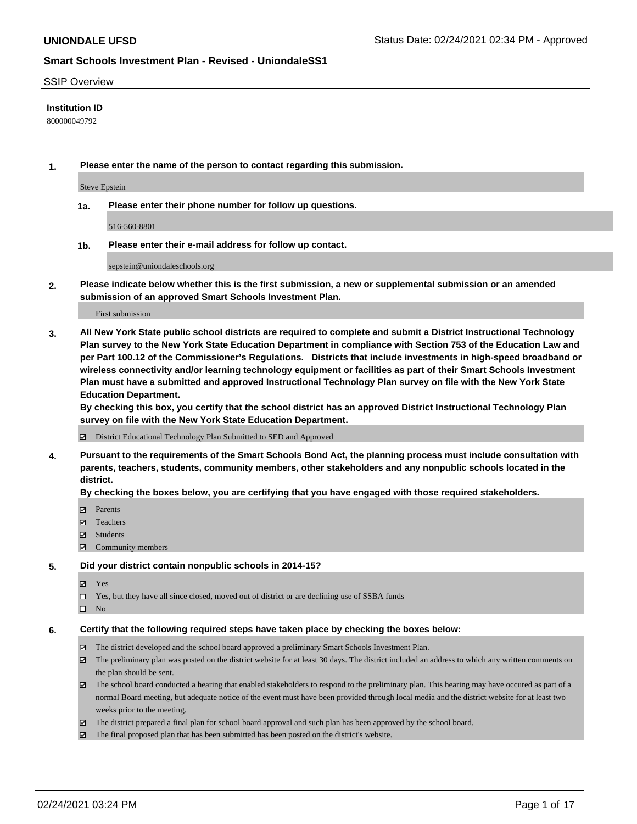#### SSIP Overview

### **Institution ID**

800000049792

**1. Please enter the name of the person to contact regarding this submission.**

Steve Epstein

**1a. Please enter their phone number for follow up questions.**

516-560-8801

**1b. Please enter their e-mail address for follow up contact.**

sepstein@uniondaleschools.org

**2. Please indicate below whether this is the first submission, a new or supplemental submission or an amended submission of an approved Smart Schools Investment Plan.**

#### First submission

**3. All New York State public school districts are required to complete and submit a District Instructional Technology Plan survey to the New York State Education Department in compliance with Section 753 of the Education Law and per Part 100.12 of the Commissioner's Regulations. Districts that include investments in high-speed broadband or wireless connectivity and/or learning technology equipment or facilities as part of their Smart Schools Investment Plan must have a submitted and approved Instructional Technology Plan survey on file with the New York State Education Department.** 

**By checking this box, you certify that the school district has an approved District Instructional Technology Plan survey on file with the New York State Education Department.**

District Educational Technology Plan Submitted to SED and Approved

**4. Pursuant to the requirements of the Smart Schools Bond Act, the planning process must include consultation with parents, teachers, students, community members, other stakeholders and any nonpublic schools located in the district.** 

#### **By checking the boxes below, you are certifying that you have engaged with those required stakeholders.**

- **□** Parents
- Teachers
- Students
- Community members

#### **5. Did your district contain nonpublic schools in 2014-15?**

- Yes
- □ Yes, but they have all since closed, moved out of district or are declining use of SSBA funds
- $\hfill \square$  No

#### **6. Certify that the following required steps have taken place by checking the boxes below:**

- The district developed and the school board approved a preliminary Smart Schools Investment Plan.
- The preliminary plan was posted on the district website for at least 30 days. The district included an address to which any written comments on the plan should be sent.
- The school board conducted a hearing that enabled stakeholders to respond to the preliminary plan. This hearing may have occured as part of a normal Board meeting, but adequate notice of the event must have been provided through local media and the district website for at least two weeks prior to the meeting.
- The district prepared a final plan for school board approval and such plan has been approved by the school board.
- $\boxtimes$  The final proposed plan that has been submitted has been posted on the district's website.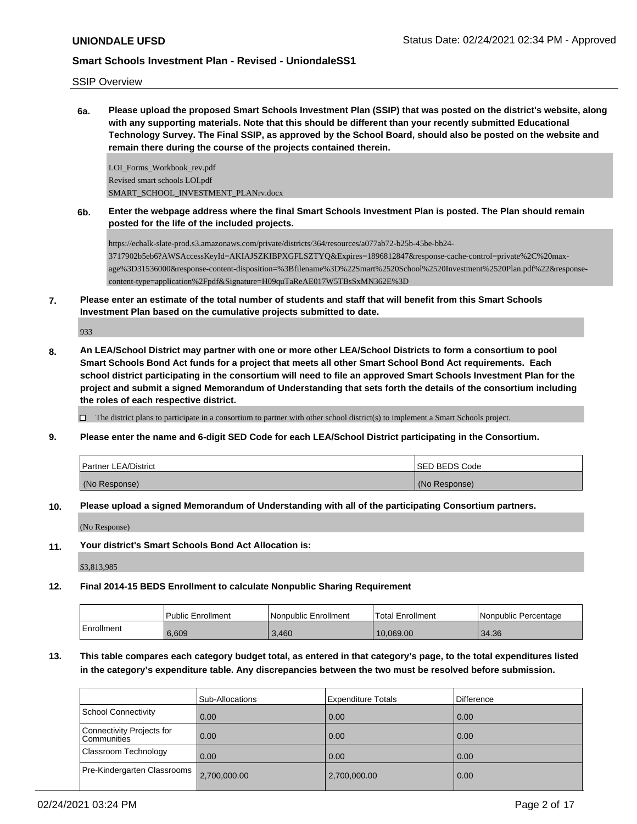### SSIP Overview

**6a. Please upload the proposed Smart Schools Investment Plan (SSIP) that was posted on the district's website, along with any supporting materials. Note that this should be different than your recently submitted Educational Technology Survey. The Final SSIP, as approved by the School Board, should also be posted on the website and remain there during the course of the projects contained therein.**

LOI\_Forms\_Workbook\_rev.pdf Revised smart schools LOI.pdf SMART\_SCHOOL\_INVESTMENT\_PLANrv.docx

**6b. Enter the webpage address where the final Smart Schools Investment Plan is posted. The Plan should remain posted for the life of the included projects.**

https://echalk-slate-prod.s3.amazonaws.com/private/districts/364/resources/a077ab72-b25b-45be-bb24- 3717902b5eb6?AWSAccessKeyId=AKIAJSZKIBPXGFLSZTYQ&Expires=1896812847&response-cache-control=private%2C%20maxage%3D31536000&response-content-disposition=%3Bfilename%3D%22Smart%2520School%2520Investment%2520Plan.pdf%22&responsecontent-type=application%2Fpdf&Signature=H09quTaReAE017W5TBsSxMN362E%3D

**7. Please enter an estimate of the total number of students and staff that will benefit from this Smart Schools Investment Plan based on the cumulative projects submitted to date.**

933

**8. An LEA/School District may partner with one or more other LEA/School Districts to form a consortium to pool Smart Schools Bond Act funds for a project that meets all other Smart School Bond Act requirements. Each school district participating in the consortium will need to file an approved Smart Schools Investment Plan for the project and submit a signed Memorandum of Understanding that sets forth the details of the consortium including the roles of each respective district.**

 $\Box$  The district plans to participate in a consortium to partner with other school district(s) to implement a Smart Schools project.

**9. Please enter the name and 6-digit SED Code for each LEA/School District participating in the Consortium.**

| <b>Partner LEA/District</b> | <b>ISED BEDS Code</b> |
|-----------------------------|-----------------------|
| (No Response)               | (No Response)         |

**10. Please upload a signed Memorandum of Understanding with all of the participating Consortium partners.**

(No Response)

**11. Your district's Smart Schools Bond Act Allocation is:**

\$3,813,985

**12. Final 2014-15 BEDS Enrollment to calculate Nonpublic Sharing Requirement**

|            | <b>Public Enrollment</b> | l Nonpublic Enrollment | Total Enrollment | l Nonpublic Percentage |
|------------|--------------------------|------------------------|------------------|------------------------|
| Enrollment | 6.609                    | 3,460                  | 10.069.00        | 34.36                  |

# **13. This table compares each category budget total, as entered in that category's page, to the total expenditures listed in the category's expenditure table. Any discrepancies between the two must be resolved before submission.**

|                                            | Sub-Allocations | Expenditure Totals | l Difference |
|--------------------------------------------|-----------------|--------------------|--------------|
| School Connectivity                        | 0.00            | 0.00               | 0.00         |
| Connectivity Projects for<br>l Communities | 0.00            | 0.00               | 0.00         |
| Classroom Technology                       | 0.00            | 0.00               | 0.00         |
| Pre-Kindergarten Classrooms                | 2,700,000.00    | 2,700,000.00       | 0.00         |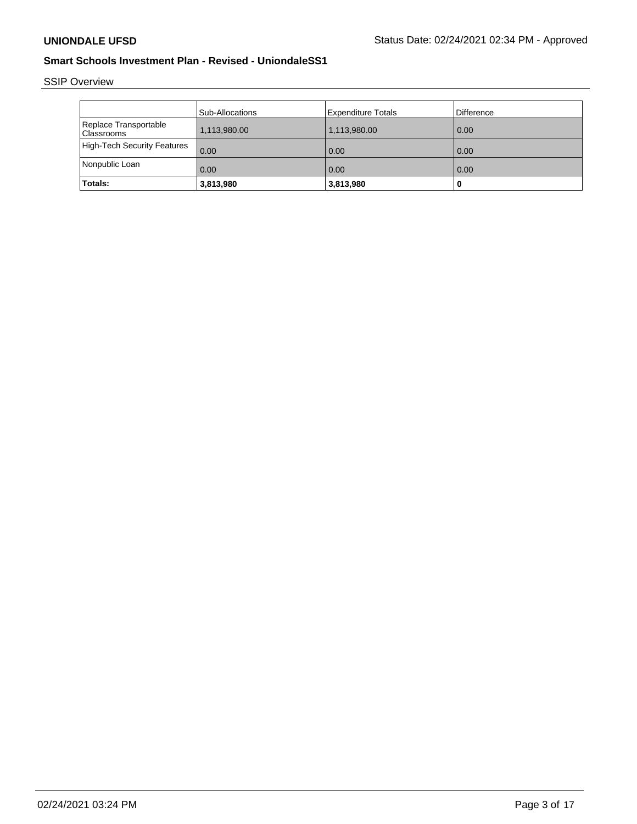SSIP Overview

|                                            | Sub-Allocations | Expenditure Totals | Difference |
|--------------------------------------------|-----------------|--------------------|------------|
| Replace Transportable<br><b>Classrooms</b> | 1,113,980.00    | 1,113,980.00       | 0.00       |
| High-Tech Security Features                | 0.00            | 0.00               | 0.00       |
| Nonpublic Loan                             | 0.00            | 0.00               | 0.00       |
| Totals:                                    | 3,813,980       | 3,813,980          | ш          |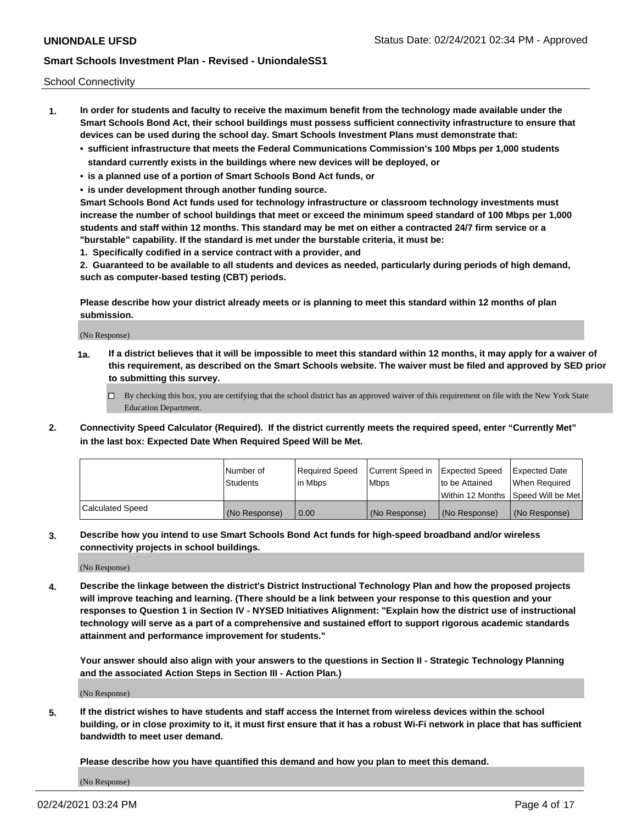School Connectivity

- **1. In order for students and faculty to receive the maximum benefit from the technology made available under the Smart Schools Bond Act, their school buildings must possess sufficient connectivity infrastructure to ensure that devices can be used during the school day. Smart Schools Investment Plans must demonstrate that:**
	- **• sufficient infrastructure that meets the Federal Communications Commission's 100 Mbps per 1,000 students standard currently exists in the buildings where new devices will be deployed, or**
	- **• is a planned use of a portion of Smart Schools Bond Act funds, or**
	- **• is under development through another funding source.**

**Smart Schools Bond Act funds used for technology infrastructure or classroom technology investments must increase the number of school buildings that meet or exceed the minimum speed standard of 100 Mbps per 1,000 students and staff within 12 months. This standard may be met on either a contracted 24/7 firm service or a "burstable" capability. If the standard is met under the burstable criteria, it must be:**

**1. Specifically codified in a service contract with a provider, and**

**2. Guaranteed to be available to all students and devices as needed, particularly during periods of high demand, such as computer-based testing (CBT) periods.**

**Please describe how your district already meets or is planning to meet this standard within 12 months of plan submission.**

(No Response)

**1a. If a district believes that it will be impossible to meet this standard within 12 months, it may apply for a waiver of this requirement, as described on the Smart Schools website. The waiver must be filed and approved by SED prior to submitting this survey.**

 $\Box$  By checking this box, you are certifying that the school district has an approved waiver of this requirement on file with the New York State Education Department.

**2. Connectivity Speed Calculator (Required). If the district currently meets the required speed, enter "Currently Met" in the last box: Expected Date When Required Speed Will be Met.**

|                  | l Number of     | Required Speed | Current Speed in | Expected Speed  | <b>Expected Date</b>                    |
|------------------|-----------------|----------------|------------------|-----------------|-----------------------------------------|
|                  | <b>Students</b> | In Mbps        | l Mbps           | Ito be Attained | When Required                           |
|                  |                 |                |                  |                 | l Within 12 Months ISpeed Will be Met l |
| Calculated Speed | (No Response)   | 0.00           | (No Response)    | (No Response)   | (No Response)                           |

**3. Describe how you intend to use Smart Schools Bond Act funds for high-speed broadband and/or wireless connectivity projects in school buildings.**

(No Response)

**4. Describe the linkage between the district's District Instructional Technology Plan and how the proposed projects will improve teaching and learning. (There should be a link between your response to this question and your responses to Question 1 in Section IV - NYSED Initiatives Alignment: "Explain how the district use of instructional technology will serve as a part of a comprehensive and sustained effort to support rigorous academic standards attainment and performance improvement for students."** 

**Your answer should also align with your answers to the questions in Section II - Strategic Technology Planning and the associated Action Steps in Section III - Action Plan.)**

(No Response)

**5. If the district wishes to have students and staff access the Internet from wireless devices within the school building, or in close proximity to it, it must first ensure that it has a robust Wi-Fi network in place that has sufficient bandwidth to meet user demand.**

**Please describe how you have quantified this demand and how you plan to meet this demand.**

(No Response)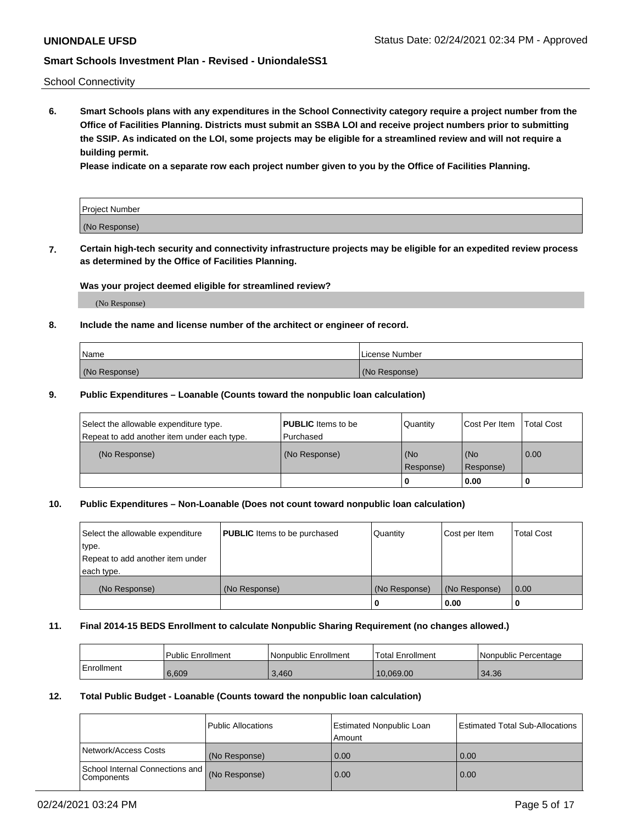School Connectivity

**6. Smart Schools plans with any expenditures in the School Connectivity category require a project number from the Office of Facilities Planning. Districts must submit an SSBA LOI and receive project numbers prior to submitting the SSIP. As indicated on the LOI, some projects may be eligible for a streamlined review and will not require a building permit.**

**Please indicate on a separate row each project number given to you by the Office of Facilities Planning.**

| Project Number |  |
|----------------|--|
| (No Response)  |  |

**7. Certain high-tech security and connectivity infrastructure projects may be eligible for an expedited review process as determined by the Office of Facilities Planning.**

### **Was your project deemed eligible for streamlined review?**

(No Response)

### **8. Include the name and license number of the architect or engineer of record.**

| Name          | License Number |
|---------------|----------------|
| (No Response) | (No Response)  |

### **9. Public Expenditures – Loanable (Counts toward the nonpublic loan calculation)**

| Select the allowable expenditure type.<br>Repeat to add another item under each type. | <b>PUBLIC</b> Items to be<br>l Purchased | Quantity           | Cost Per Item    | <b>Total Cost</b> |
|---------------------------------------------------------------------------------------|------------------------------------------|--------------------|------------------|-------------------|
| (No Response)                                                                         | (No Response)                            | l (No<br>Response) | (No<br>Response) | $\overline{0.00}$ |
|                                                                                       |                                          | O                  | 0.00             |                   |

### **10. Public Expenditures – Non-Loanable (Does not count toward nonpublic loan calculation)**

| Select the allowable expenditure<br>type.<br>Repeat to add another item under<br>each type. | <b>PUBLIC</b> Items to be purchased | Quantity      | Cost per Item | <b>Total Cost</b> |
|---------------------------------------------------------------------------------------------|-------------------------------------|---------------|---------------|-------------------|
| (No Response)                                                                               | (No Response)                       | (No Response) | (No Response) | 0.00              |
|                                                                                             |                                     |               | 0.00          |                   |

#### **11. Final 2014-15 BEDS Enrollment to calculate Nonpublic Sharing Requirement (no changes allowed.)**

|            | l Public Enrollment | Nonpublic Enrollment | 'Total Enrollment | l Nonpublic Percentage |
|------------|---------------------|----------------------|-------------------|------------------------|
| Enrollment | 6,609               | 3,460                | 10.069.00         | 34.36                  |

#### **12. Total Public Budget - Loanable (Counts toward the nonpublic loan calculation)**

|                                                      | Public Allocations | <b>Estimated Nonpublic Loan</b><br>Amount | Estimated Total Sub-Allocations |
|------------------------------------------------------|--------------------|-------------------------------------------|---------------------------------|
| Network/Access Costs                                 | (No Response)      | 0.00                                      | 0.00                            |
| School Internal Connections and<br><b>Components</b> | (No Response)      | 0.00                                      | 0.00                            |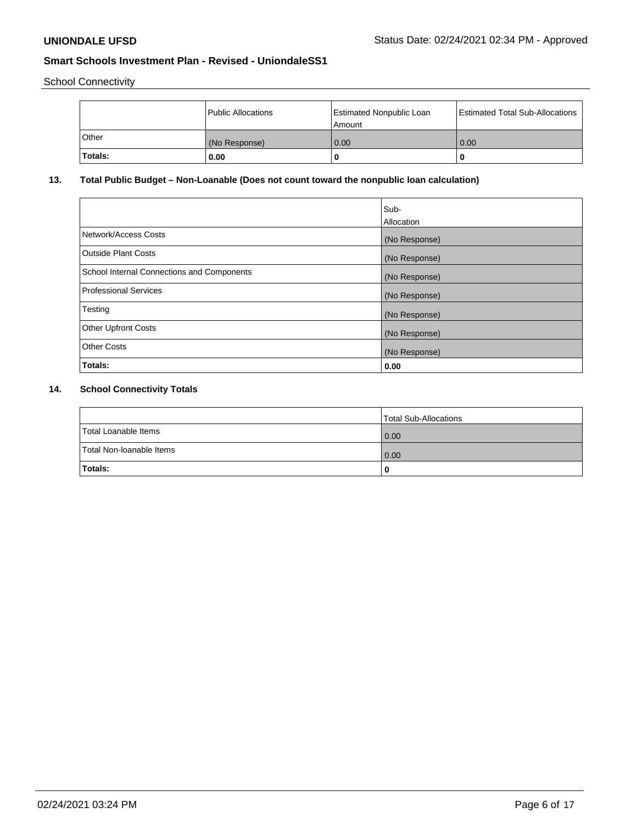School Connectivity

|         | Public Allocations | Estimated Nonpublic Loan<br>l Amount | <b>Estimated Total Sub-Allocations</b> |
|---------|--------------------|--------------------------------------|----------------------------------------|
| l Other | (No Response)      | 0.00                                 | 0.00                                   |
| Totals: | 0.00               | 0                                    |                                        |

# **13. Total Public Budget – Non-Loanable (Does not count toward the nonpublic loan calculation)**

|                                                   | Sub-<br>Allocation |
|---------------------------------------------------|--------------------|
| Network/Access Costs                              | (No Response)      |
| Outside Plant Costs                               | (No Response)      |
| <b>School Internal Connections and Components</b> | (No Response)      |
| Professional Services                             | (No Response)      |
| Testing                                           | (No Response)      |
| <b>Other Upfront Costs</b>                        | (No Response)      |
| <b>Other Costs</b>                                | (No Response)      |
| Totals:                                           | 0.00               |

# **14. School Connectivity Totals**

|                          | Total Sub-Allocations |
|--------------------------|-----------------------|
| Total Loanable Items     | 0.00                  |
| Total Non-Ioanable Items | 0.00                  |
| Totals:                  |                       |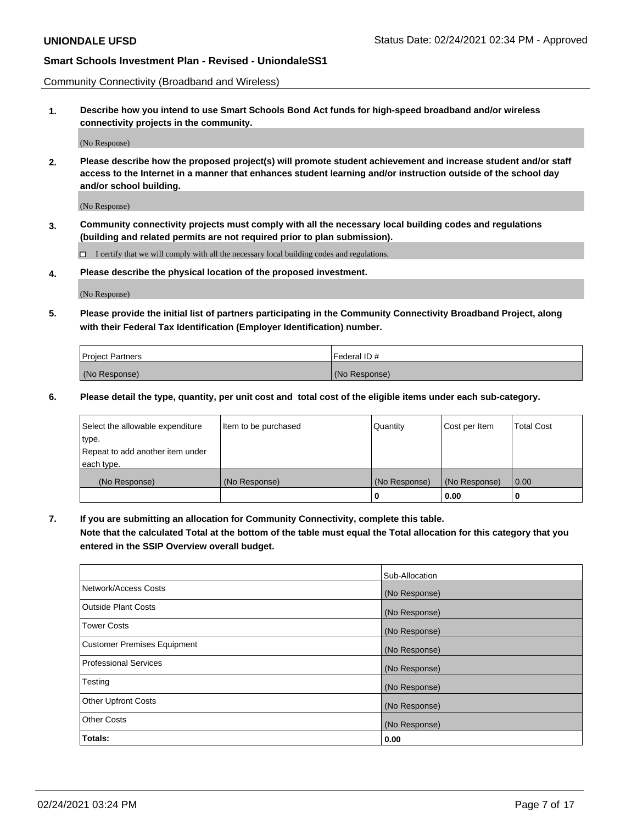Community Connectivity (Broadband and Wireless)

**1. Describe how you intend to use Smart Schools Bond Act funds for high-speed broadband and/or wireless connectivity projects in the community.**

(No Response)

**2. Please describe how the proposed project(s) will promote student achievement and increase student and/or staff access to the Internet in a manner that enhances student learning and/or instruction outside of the school day and/or school building.**

(No Response)

**3. Community connectivity projects must comply with all the necessary local building codes and regulations (building and related permits are not required prior to plan submission).**

 $\Box$  I certify that we will comply with all the necessary local building codes and regulations.

**4. Please describe the physical location of the proposed investment.**

(No Response)

**5. Please provide the initial list of partners participating in the Community Connectivity Broadband Project, along with their Federal Tax Identification (Employer Identification) number.**

| <b>Project Partners</b> | l Federal ID # |
|-------------------------|----------------|
| (No Response)           | (No Response)  |

**6. Please detail the type, quantity, per unit cost and total cost of the eligible items under each sub-category.**

| Select the allowable expenditure | Item to be purchased | Quantity      | Cost per Item | <b>Total Cost</b> |
|----------------------------------|----------------------|---------------|---------------|-------------------|
| type.                            |                      |               |               |                   |
| Repeat to add another item under |                      |               |               |                   |
| each type.                       |                      |               |               |                   |
| (No Response)                    | (No Response)        | (No Response) | (No Response) | 0.00              |
|                                  |                      | o             | 0.00          |                   |

**7. If you are submitting an allocation for Community Connectivity, complete this table.**

**Note that the calculated Total at the bottom of the table must equal the Total allocation for this category that you entered in the SSIP Overview overall budget.**

|                                    | Sub-Allocation |
|------------------------------------|----------------|
| Network/Access Costs               | (No Response)  |
| Outside Plant Costs                | (No Response)  |
| <b>Tower Costs</b>                 | (No Response)  |
| <b>Customer Premises Equipment</b> | (No Response)  |
| <b>Professional Services</b>       | (No Response)  |
| Testing                            | (No Response)  |
| <b>Other Upfront Costs</b>         | (No Response)  |
| <b>Other Costs</b>                 | (No Response)  |
| Totals:                            | 0.00           |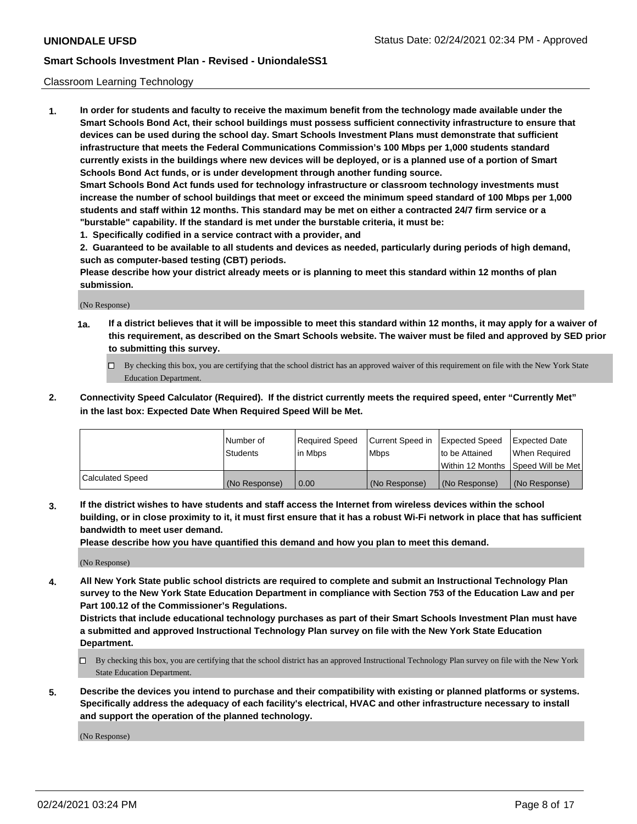#### Classroom Learning Technology

**1. In order for students and faculty to receive the maximum benefit from the technology made available under the Smart Schools Bond Act, their school buildings must possess sufficient connectivity infrastructure to ensure that devices can be used during the school day. Smart Schools Investment Plans must demonstrate that sufficient infrastructure that meets the Federal Communications Commission's 100 Mbps per 1,000 students standard currently exists in the buildings where new devices will be deployed, or is a planned use of a portion of Smart Schools Bond Act funds, or is under development through another funding source. Smart Schools Bond Act funds used for technology infrastructure or classroom technology investments must increase the number of school buildings that meet or exceed the minimum speed standard of 100 Mbps per 1,000 students and staff within 12 months. This standard may be met on either a contracted 24/7 firm service or a**

- **"burstable" capability. If the standard is met under the burstable criteria, it must be:**
- **1. Specifically codified in a service contract with a provider, and**

**2. Guaranteed to be available to all students and devices as needed, particularly during periods of high demand, such as computer-based testing (CBT) periods.**

**Please describe how your district already meets or is planning to meet this standard within 12 months of plan submission.**

(No Response)

- **1a. If a district believes that it will be impossible to meet this standard within 12 months, it may apply for a waiver of this requirement, as described on the Smart Schools website. The waiver must be filed and approved by SED prior to submitting this survey.**
	- By checking this box, you are certifying that the school district has an approved waiver of this requirement on file with the New York State Education Department.
- **2. Connectivity Speed Calculator (Required). If the district currently meets the required speed, enter "Currently Met" in the last box: Expected Date When Required Speed Will be Met.**

|                  | l Number of     | Required Speed | Current Speed in | <b>Expected Speed</b> | <b>Expected Date</b>                |
|------------------|-----------------|----------------|------------------|-----------------------|-------------------------------------|
|                  | <b>Students</b> | l in Mbps      | l Mbps           | to be Attained        | When Required                       |
|                  |                 |                |                  |                       | Within 12 Months  Speed Will be Met |
| Calculated Speed | (No Response)   | 0.00           | (No Response)    | l (No Response)       | (No Response)                       |

**3. If the district wishes to have students and staff access the Internet from wireless devices within the school building, or in close proximity to it, it must first ensure that it has a robust Wi-Fi network in place that has sufficient bandwidth to meet user demand.**

**Please describe how you have quantified this demand and how you plan to meet this demand.**

(No Response)

**4. All New York State public school districts are required to complete and submit an Instructional Technology Plan survey to the New York State Education Department in compliance with Section 753 of the Education Law and per Part 100.12 of the Commissioner's Regulations.**

**Districts that include educational technology purchases as part of their Smart Schools Investment Plan must have a submitted and approved Instructional Technology Plan survey on file with the New York State Education Department.**

- By checking this box, you are certifying that the school district has an approved Instructional Technology Plan survey on file with the New York State Education Department.
- **5. Describe the devices you intend to purchase and their compatibility with existing or planned platforms or systems. Specifically address the adequacy of each facility's electrical, HVAC and other infrastructure necessary to install and support the operation of the planned technology.**

(No Response)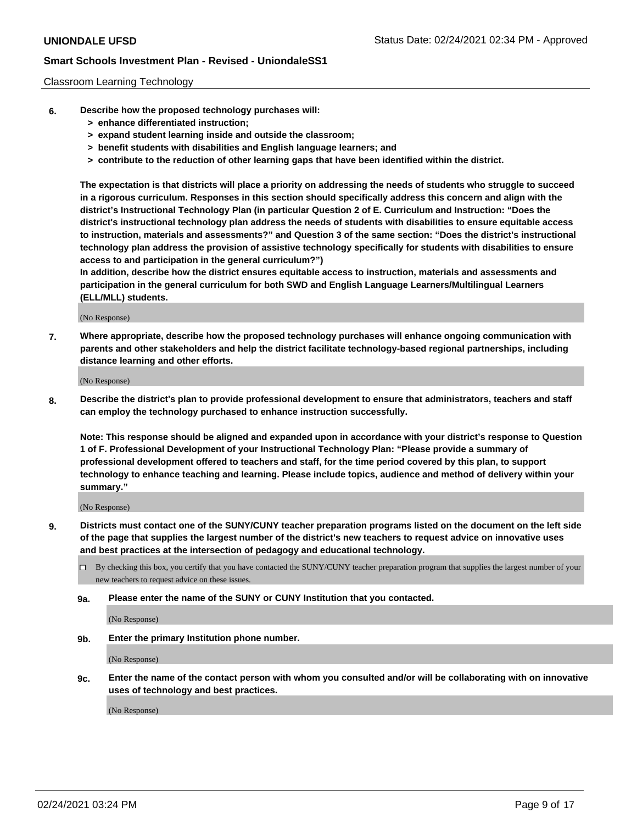### Classroom Learning Technology

- **6. Describe how the proposed technology purchases will:**
	- **> enhance differentiated instruction;**
	- **> expand student learning inside and outside the classroom;**
	- **> benefit students with disabilities and English language learners; and**
	- **> contribute to the reduction of other learning gaps that have been identified within the district.**

**The expectation is that districts will place a priority on addressing the needs of students who struggle to succeed in a rigorous curriculum. Responses in this section should specifically address this concern and align with the district's Instructional Technology Plan (in particular Question 2 of E. Curriculum and Instruction: "Does the district's instructional technology plan address the needs of students with disabilities to ensure equitable access to instruction, materials and assessments?" and Question 3 of the same section: "Does the district's instructional technology plan address the provision of assistive technology specifically for students with disabilities to ensure access to and participation in the general curriculum?")**

**In addition, describe how the district ensures equitable access to instruction, materials and assessments and participation in the general curriculum for both SWD and English Language Learners/Multilingual Learners (ELL/MLL) students.**

(No Response)

**7. Where appropriate, describe how the proposed technology purchases will enhance ongoing communication with parents and other stakeholders and help the district facilitate technology-based regional partnerships, including distance learning and other efforts.**

(No Response)

**8. Describe the district's plan to provide professional development to ensure that administrators, teachers and staff can employ the technology purchased to enhance instruction successfully.**

**Note: This response should be aligned and expanded upon in accordance with your district's response to Question 1 of F. Professional Development of your Instructional Technology Plan: "Please provide a summary of professional development offered to teachers and staff, for the time period covered by this plan, to support technology to enhance teaching and learning. Please include topics, audience and method of delivery within your summary."**

(No Response)

- **9. Districts must contact one of the SUNY/CUNY teacher preparation programs listed on the document on the left side of the page that supplies the largest number of the district's new teachers to request advice on innovative uses and best practices at the intersection of pedagogy and educational technology.**
	- By checking this box, you certify that you have contacted the SUNY/CUNY teacher preparation program that supplies the largest number of your new teachers to request advice on these issues.
	- **9a. Please enter the name of the SUNY or CUNY Institution that you contacted.**

(No Response)

**9b. Enter the primary Institution phone number.**

(No Response)

**9c. Enter the name of the contact person with whom you consulted and/or will be collaborating with on innovative uses of technology and best practices.**

(No Response)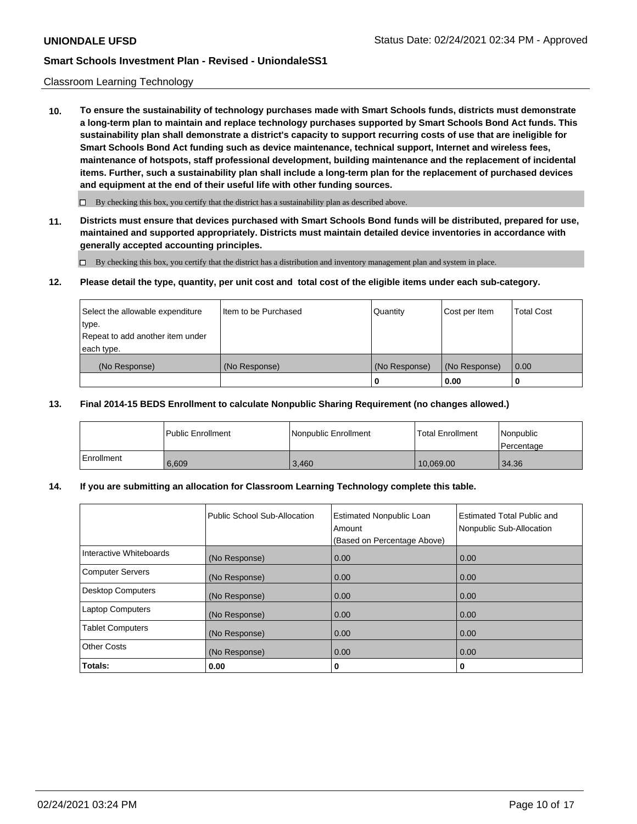### Classroom Learning Technology

**10. To ensure the sustainability of technology purchases made with Smart Schools funds, districts must demonstrate a long-term plan to maintain and replace technology purchases supported by Smart Schools Bond Act funds. This sustainability plan shall demonstrate a district's capacity to support recurring costs of use that are ineligible for Smart Schools Bond Act funding such as device maintenance, technical support, Internet and wireless fees, maintenance of hotspots, staff professional development, building maintenance and the replacement of incidental items. Further, such a sustainability plan shall include a long-term plan for the replacement of purchased devices and equipment at the end of their useful life with other funding sources.**

 $\Box$  By checking this box, you certify that the district has a sustainability plan as described above.

**11. Districts must ensure that devices purchased with Smart Schools Bond funds will be distributed, prepared for use, maintained and supported appropriately. Districts must maintain detailed device inventories in accordance with generally accepted accounting principles.**

By checking this box, you certify that the district has a distribution and inventory management plan and system in place.

#### **12. Please detail the type, quantity, per unit cost and total cost of the eligible items under each sub-category.**

| Select the allowable expenditure<br>type.<br>Repeat to add another item under | Item to be Purchased | Quantity      | Cost per Item | <b>Total Cost</b> |
|-------------------------------------------------------------------------------|----------------------|---------------|---------------|-------------------|
| each type.<br>(No Response)                                                   | (No Response)        | (No Response) | (No Response) | 0.00              |
|                                                                               |                      | 0             | 0.00          |                   |

#### **13. Final 2014-15 BEDS Enrollment to calculate Nonpublic Sharing Requirement (no changes allowed.)**

|              | l Public Enrollment | Nonpublic Enrollment | <b>Total Enrollment</b> | Nonpublic<br>l Percentage |
|--------------|---------------------|----------------------|-------------------------|---------------------------|
| l Enrollment | 6.609               | 3.460                | 10.069.00               | 34.36                     |

### **14. If you are submitting an allocation for Classroom Learning Technology complete this table.**

|                         | Public School Sub-Allocation | <b>Estimated Nonpublic Loan</b><br>Amount<br>(Based on Percentage Above) | Estimated Total Public and<br>Nonpublic Sub-Allocation |
|-------------------------|------------------------------|--------------------------------------------------------------------------|--------------------------------------------------------|
| Interactive Whiteboards | (No Response)                | 0.00                                                                     | 0.00                                                   |
| Computer Servers        | (No Response)                | 0.00                                                                     | 0.00                                                   |
| Desktop Computers       | (No Response)                | 0.00                                                                     | 0.00                                                   |
| <b>Laptop Computers</b> | (No Response)                | 0.00                                                                     | 0.00                                                   |
| <b>Tablet Computers</b> | (No Response)                | 0.00                                                                     | 0.00                                                   |
| Other Costs             | (No Response)                | 0.00                                                                     | 0.00                                                   |
| Totals:                 | 0.00                         | 0                                                                        | 0                                                      |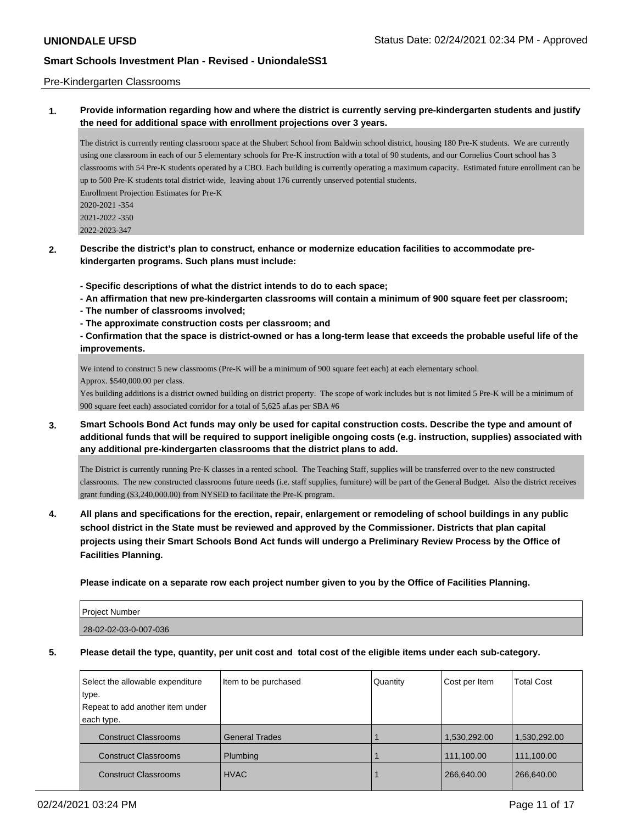### Pre-Kindergarten Classrooms

**1. Provide information regarding how and where the district is currently serving pre-kindergarten students and justify the need for additional space with enrollment projections over 3 years.**

The district is currently renting classroom space at the Shubert School from Baldwin school district, housing 180 Pre-K students. We are currently using one classroom in each of our 5 elementary schools for Pre-K instruction with a total of 90 students, and our Cornelius Court school has 3 classrooms with 54 Pre-K students operated by a CBO. Each building is currently operating a maximum capacity. Estimated future enrollment can be up to 500 Pre-K students total district-wide, leaving about 176 currently unserved potential students. Enrollment Projection Estimates for Pre-K 2020-2021 -354

2021-2022 -350

2022-2023-347

**2. Describe the district's plan to construct, enhance or modernize education facilities to accommodate prekindergarten programs. Such plans must include:**

**- Specific descriptions of what the district intends to do to each space;**

- **An affirmation that new pre-kindergarten classrooms will contain a minimum of 900 square feet per classroom;**
- **The number of classrooms involved;**
- **The approximate construction costs per classroom; and**

**- Confirmation that the space is district-owned or has a long-term lease that exceeds the probable useful life of the improvements.**

We intend to construct 5 new classrooms (Pre-K will be a minimum of 900 square feet each) at each elementary school. Approx. \$540,000.00 per class.

Yes building additions is a district owned building on district property. The scope of work includes but is not limited 5 Pre-K will be a minimum of 900 square feet each) associated corridor for a total of 5,625 af.as per SBA #6

**3. Smart Schools Bond Act funds may only be used for capital construction costs. Describe the type and amount of additional funds that will be required to support ineligible ongoing costs (e.g. instruction, supplies) associated with any additional pre-kindergarten classrooms that the district plans to add.**

The District is currently running Pre-K classes in a rented school. The Teaching Staff, supplies will be transferred over to the new constructed classrooms. The new constructed classrooms future needs (i.e. staff supplies, furniture) will be part of the General Budget. Also the district receives grant funding (\$3,240,000.00) from NYSED to facilitate the Pre-K program.

**4. All plans and specifications for the erection, repair, enlargement or remodeling of school buildings in any public school district in the State must be reviewed and approved by the Commissioner. Districts that plan capital projects using their Smart Schools Bond Act funds will undergo a Preliminary Review Process by the Office of Facilities Planning.**

**Please indicate on a separate row each project number given to you by the Office of Facilities Planning.**

| <b>Project Number</b> |  |
|-----------------------|--|
| 28-02-02-03-0-007-036 |  |

**5. Please detail the type, quantity, per unit cost and total cost of the eligible items under each sub-category.**

| Select the allowable expenditure<br>type.<br>Repeat to add another item under<br>each type. | Item to be purchased  | Quantity | Cost per Item | <b>Total Cost</b> |
|---------------------------------------------------------------------------------------------|-----------------------|----------|---------------|-------------------|
| <b>Construct Classrooms</b>                                                                 | <b>General Trades</b> |          | 1,530,292.00  | 1,530,292.00      |
| <b>Construct Classrooms</b>                                                                 | Plumbing              |          | 111,100.00    | 111,100.00        |
| <b>Construct Classrooms</b>                                                                 | <b>HVAC</b>           |          | 266,640.00    | 266,640.00        |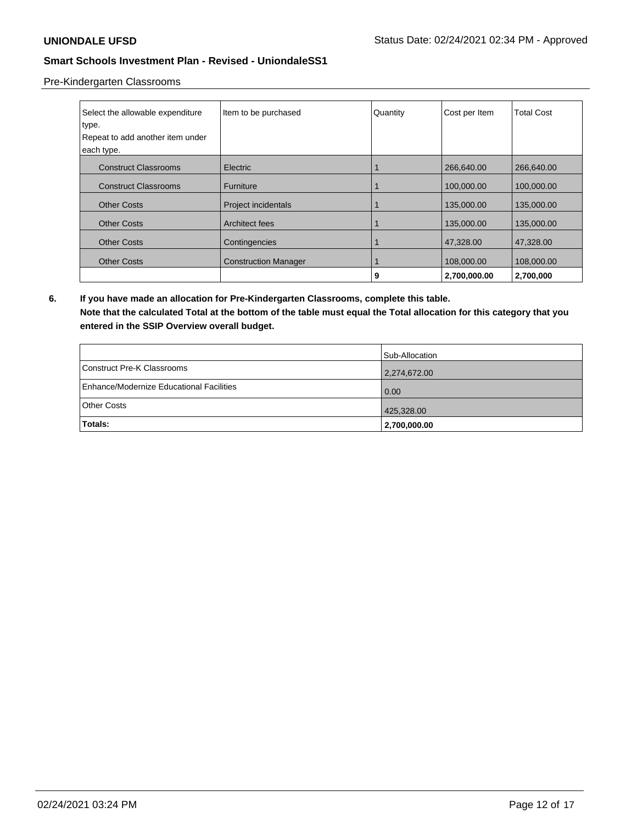Pre-Kindergarten Classrooms

| Select the allowable expenditure | Item to be purchased        | Quantity | Cost per Item | <b>Total Cost</b> |
|----------------------------------|-----------------------------|----------|---------------|-------------------|
| type.                            |                             |          |               |                   |
| Repeat to add another item under |                             |          |               |                   |
| each type.                       |                             |          |               |                   |
| <b>Construct Classrooms</b>      | <b>Electric</b>             |          | 266,640.00    | 266,640.00        |
| <b>Construct Classrooms</b>      | <b>Furniture</b>            |          | 100,000.00    | 100,000.00        |
| <b>Other Costs</b>               | Project incidentals         |          | 135,000.00    | 135,000.00        |
| <b>Other Costs</b>               | Architect fees              |          | 135,000.00    | 135,000.00        |
| <b>Other Costs</b>               | Contingencies               |          | 47,328.00     | 47,328.00         |
| <b>Other Costs</b>               | <b>Construction Manager</b> |          | 108,000.00    | 108,000.00        |
|                                  |                             | 9        | 2,700,000.00  | 2,700,000         |

**6. If you have made an allocation for Pre-Kindergarten Classrooms, complete this table. Note that the calculated Total at the bottom of the table must equal the Total allocation for this category that you entered in the SSIP Overview overall budget.**

|                                          | Sub-Allocation |
|------------------------------------------|----------------|
| Construct Pre-K Classrooms               | 2,274,672.00   |
| Enhance/Modernize Educational Facilities | 0.00           |
| Other Costs                              | 425,328.00     |
| Totals:                                  | 2,700,000.00   |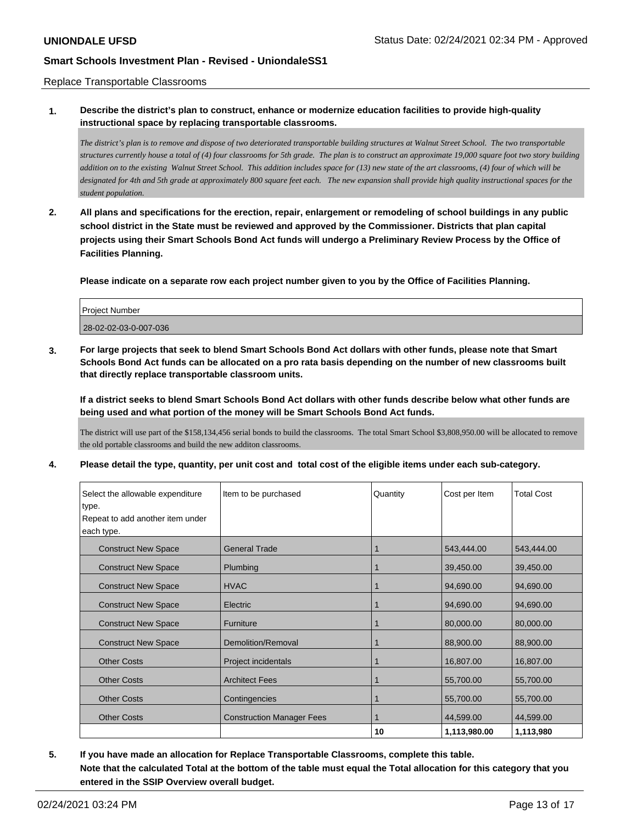### Replace Transportable Classrooms

## **1. Describe the district's plan to construct, enhance or modernize education facilities to provide high-quality instructional space by replacing transportable classrooms.**

*The district's plan is to remove and dispose of two deteriorated transportable building structures at Walnut Street School. The two transportable structures currently house a total of (4) four classrooms for 5th grade. The plan is to construct an approximate 19,000 square foot two story building addition on to the existing Walnut Street School. This addition includes space for (13) new state of the art classrooms, (4) four of which will be designated for 4th and 5th grade at approximately 800 square feet each. The new expansion shall provide high quality instructional spaces for the student population.*

**2. All plans and specifications for the erection, repair, enlargement or remodeling of school buildings in any public school district in the State must be reviewed and approved by the Commissioner. Districts that plan capital projects using their Smart Schools Bond Act funds will undergo a Preliminary Review Process by the Office of Facilities Planning.**

**Please indicate on a separate row each project number given to you by the Office of Facilities Planning.**

| <b>Project Number</b> |  |
|-----------------------|--|
| 28-02-02-03-0-007-036 |  |

**3. For large projects that seek to blend Smart Schools Bond Act dollars with other funds, please note that Smart Schools Bond Act funds can be allocated on a pro rata basis depending on the number of new classrooms built that directly replace transportable classroom units.**

**If a district seeks to blend Smart Schools Bond Act dollars with other funds describe below what other funds are being used and what portion of the money will be Smart Schools Bond Act funds.**

The district will use part of the \$158,134,456 serial bonds to build the classrooms. The total Smart School \$3,808,950.00 will be allocated to remove the old portable classrooms and build the new additon classrooms.

**4. Please detail the type, quantity, per unit cost and total cost of the eligible items under each sub-category.**

| Select the allowable expenditure | Item to be purchased             | Quantity | Cost per Item | <b>Total Cost</b> |
|----------------------------------|----------------------------------|----------|---------------|-------------------|
| type.                            |                                  |          |               |                   |
| Repeat to add another item under |                                  |          |               |                   |
| each type.                       |                                  |          |               |                   |
| <b>Construct New Space</b>       | <b>General Trade</b>             |          | 543,444.00    | 543,444.00        |
| <b>Construct New Space</b>       | Plumbing                         |          | 39,450.00     | 39,450.00         |
| <b>Construct New Space</b>       | <b>HVAC</b>                      |          | 94,690.00     | 94,690.00         |
| <b>Construct New Space</b>       | Electric                         |          | 94,690.00     | 94,690.00         |
| <b>Construct New Space</b>       | <b>Furniture</b>                 |          | 80,000.00     | 80,000.00         |
| <b>Construct New Space</b>       | Demolition/Removal               |          | 88,900.00     | 88,900.00         |
| <b>Other Costs</b>               | Project incidentals              |          | 16,807.00     | 16,807.00         |
| <b>Other Costs</b>               | <b>Architect Fees</b>            |          | 55,700.00     | 55,700.00         |
| <b>Other Costs</b>               | Contingencies                    |          | 55,700.00     | 55,700.00         |
| <b>Other Costs</b>               | <b>Construction Manager Fees</b> |          | 44,599.00     | 44,599.00         |
|                                  |                                  | 10       | 1,113,980.00  | 1,113,980         |

**5. If you have made an allocation for Replace Transportable Classrooms, complete this table. Note that the calculated Total at the bottom of the table must equal the Total allocation for this category that you entered in the SSIP Overview overall budget.**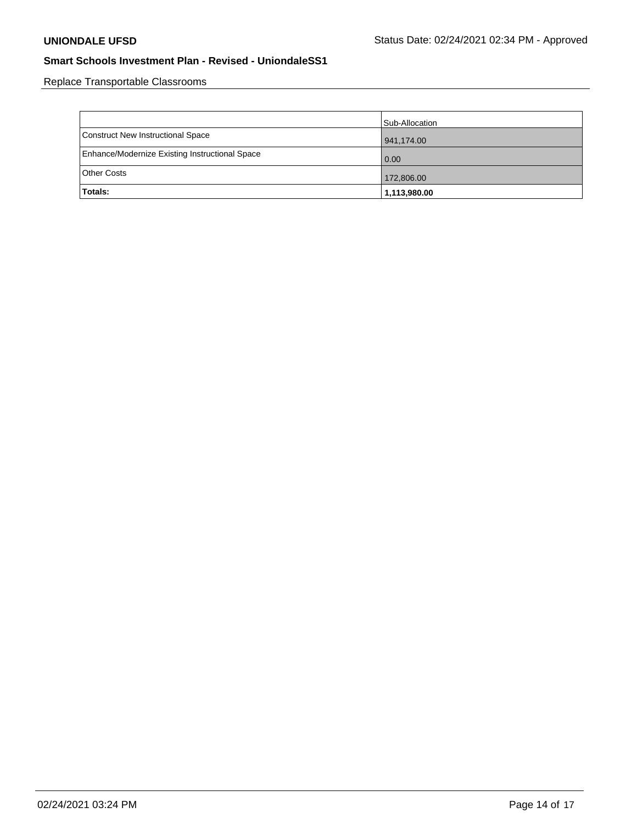Replace Transportable Classrooms

|                                                | Sub-Allocation |
|------------------------------------------------|----------------|
| Construct New Instructional Space              | 941,174.00     |
| Enhance/Modernize Existing Instructional Space | 0.00           |
| Other Costs                                    | 172,806.00     |
| <b>Totals:</b>                                 | 1,113,980.00   |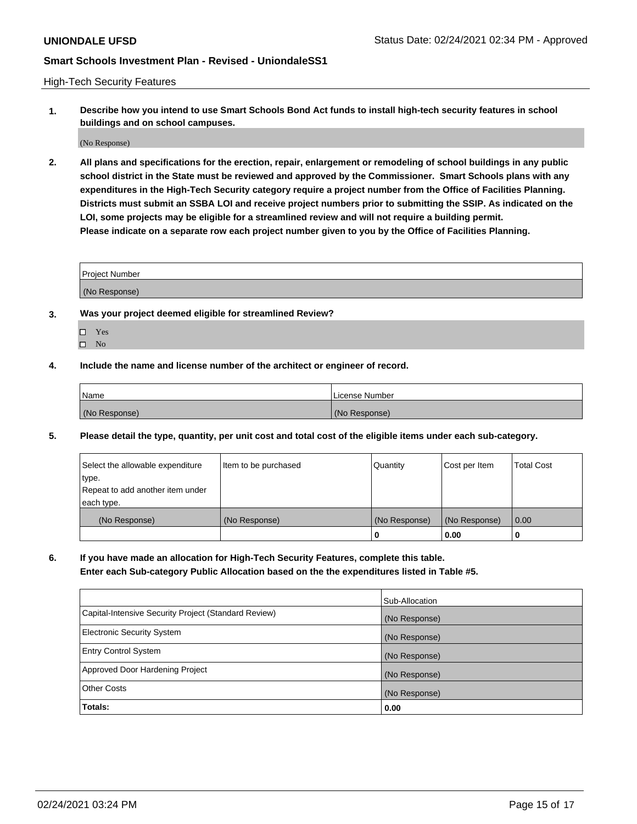High-Tech Security Features

**1. Describe how you intend to use Smart Schools Bond Act funds to install high-tech security features in school buildings and on school campuses.**

(No Response)

**2. All plans and specifications for the erection, repair, enlargement or remodeling of school buildings in any public school district in the State must be reviewed and approved by the Commissioner. Smart Schools plans with any expenditures in the High-Tech Security category require a project number from the Office of Facilities Planning. Districts must submit an SSBA LOI and receive project numbers prior to submitting the SSIP. As indicated on the LOI, some projects may be eligible for a streamlined review and will not require a building permit. Please indicate on a separate row each project number given to you by the Office of Facilities Planning.**

| <b>Project Number</b> |  |
|-----------------------|--|
| (No Response)         |  |

- **3. Was your project deemed eligible for streamlined Review?**
	- Yes
	- $\hfill \Box$  No
- **4. Include the name and license number of the architect or engineer of record.**

| <b>Name</b>   | License Number |
|---------------|----------------|
| (No Response) | (No Response)  |

**5. Please detail the type, quantity, per unit cost and total cost of the eligible items under each sub-category.**

| Select the allowable expenditure | Item to be purchased | Quantity      | Cost per Item | <b>Total Cost</b> |
|----------------------------------|----------------------|---------------|---------------|-------------------|
| type.                            |                      |               |               |                   |
| Repeat to add another item under |                      |               |               |                   |
| each type.                       |                      |               |               |                   |
| (No Response)                    | (No Response)        | (No Response) | (No Response) | $\overline{0.00}$ |
|                                  |                      |               | 0.00          |                   |

**6. If you have made an allocation for High-Tech Security Features, complete this table.**

**Enter each Sub-category Public Allocation based on the the expenditures listed in Table #5.**

|                                                      | Sub-Allocation |
|------------------------------------------------------|----------------|
| Capital-Intensive Security Project (Standard Review) | (No Response)  |
| <b>Electronic Security System</b>                    | (No Response)  |
| <b>Entry Control System</b>                          | (No Response)  |
| Approved Door Hardening Project                      | (No Response)  |
| <b>Other Costs</b>                                   | (No Response)  |
| Totals:                                              | 0.00           |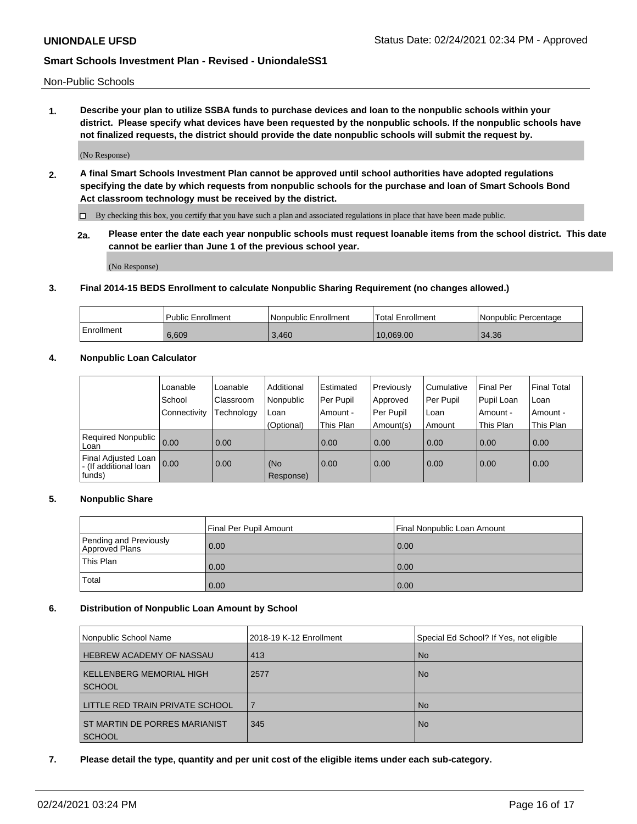Non-Public Schools

**1. Describe your plan to utilize SSBA funds to purchase devices and loan to the nonpublic schools within your district. Please specify what devices have been requested by the nonpublic schools. If the nonpublic schools have not finalized requests, the district should provide the date nonpublic schools will submit the request by.**

(No Response)

**2. A final Smart Schools Investment Plan cannot be approved until school authorities have adopted regulations specifying the date by which requests from nonpublic schools for the purchase and loan of Smart Schools Bond Act classroom technology must be received by the district.**

By checking this box, you certify that you have such a plan and associated regulations in place that have been made public.

**2a. Please enter the date each year nonpublic schools must request loanable items from the school district. This date cannot be earlier than June 1 of the previous school year.**

(No Response)

## **3. Final 2014-15 BEDS Enrollment to calculate Nonpublic Sharing Requirement (no changes allowed.)**

|            | Public Enrollment | l Nonpublic Enrollment | <sup>1</sup> Total Enrollment | I Nonpublic Percentage |
|------------|-------------------|------------------------|-------------------------------|------------------------|
| Enrollment | 6.609             | 3.460                  | 10.069.00                     | 34.36                  |

### **4. Nonpublic Loan Calculator**

|                                                        | Loanable     | Loanable   | Additional       | Estimated   | Previously | Cumulative | Final Per  | <b>Final Total</b> |
|--------------------------------------------------------|--------------|------------|------------------|-------------|------------|------------|------------|--------------------|
|                                                        | School       | Classroom  | Nonpublic        | l Per Pupil | Approved   | Per Pupil  | Pupil Loan | Loan               |
|                                                        | Connectivity | Technology | Loan             | Amount -    | Per Pupil  | Loan       | Amount -   | Amount -           |
|                                                        |              |            | (Optional)       | This Plan   | Amount(s)  | Amount     | This Plan  | This Plan          |
| Required Nonpublic<br>Loan                             | 0.00         | 0.00       |                  | 0.00        | 0.00       | 0.00       | 0.00       | 0.00               |
| Final Adjusted Loan<br>- (If additional loan<br>funds) | 0.00         | 0.00       | (No<br>Response) | 0.00        | 0.00       | 0.00       | 0.00       | 0.00               |

### **5. Nonpublic Share**

|                                          | Final Per Pupil Amount | l Final Nonpublic Loan Amount |
|------------------------------------------|------------------------|-------------------------------|
| Pending and Previously<br>Approved Plans | 0.00                   | 0.00                          |
| <b>This Plan</b>                         | 0.00                   | 0.00                          |
| Total                                    | 0.00                   | 0.00                          |

### **6. Distribution of Nonpublic Loan Amount by School**

| Nonpublic School Name                            | 2018-19 K-12 Enrollment | Special Ed School? If Yes, not eligible |
|--------------------------------------------------|-------------------------|-----------------------------------------|
| <b>HEBREW ACADEMY OF NASSAU</b>                  | 413                     | l No                                    |
| <b>KELLENBERG MEMORIAL HIGH</b><br><b>SCHOOL</b> | 2577                    | l No                                    |
| LITTLE RED TRAIN PRIVATE SCHOOL                  |                         | l No                                    |
| ST MARTIN DE PORRES MARIANIST<br><b>SCHOOL</b>   | 345                     | l No                                    |

**7. Please detail the type, quantity and per unit cost of the eligible items under each sub-category.**